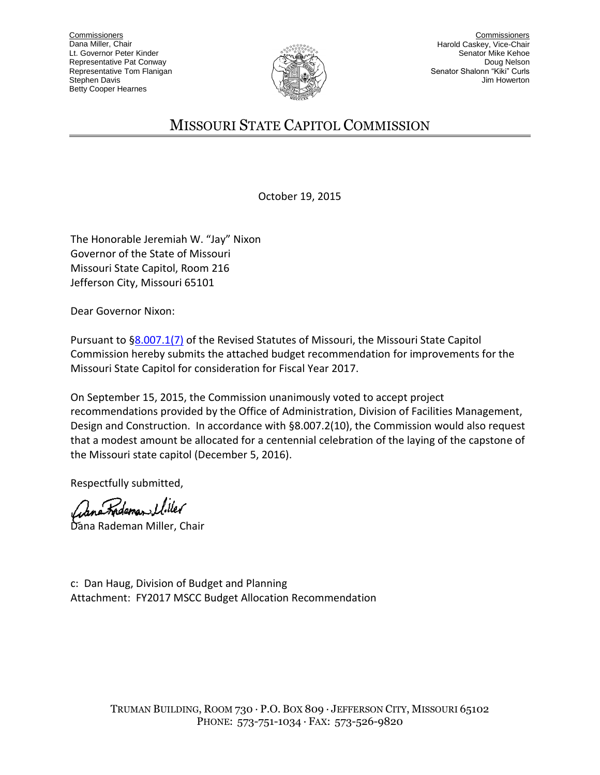

**Commissioners** Harold Caskey, Vice-Chair Senator Mike Kehoe Doug Nelson Senator Shalonn "Kiki" Curls Jim Howerton

## MISSOURI STATE CAPITOL COMMISSION

October 19, 2015

The Honorable Jeremiah W. "Jay" Nixon Governor of the State of Missouri Missouri State Capitol, Room 216 Jefferson City, Missouri 65101

Dear Governor Nixon:

Pursuant to [§8.007.1\(7\)](http://www.moga.mo.gov/mostatutes/stathtml/00800000071.html) of the Revised Statutes of Missouri, the Missouri State Capitol Commission hereby submits the attached budget recommendation for improvements for the Missouri State Capitol for consideration for Fiscal Year 2017.

On September 15, 2015, the Commission unanimously voted to accept project recommendations provided by the Office of Administration, Division of Facilities Management, Design and Construction. In accordance with §8.007.2(10), the Commission would also request that a modest amount be allocated for a centennial celebration of the laying of the capstone of the Missouri state capitol (December 5, 2016).

Respectfully submitted,

Rademan Uiler

Dana Rademan Miller, Chair

c: Dan Haug, Division of Budget and Planning Attachment: FY2017 MSCC Budget Allocation Recommendation